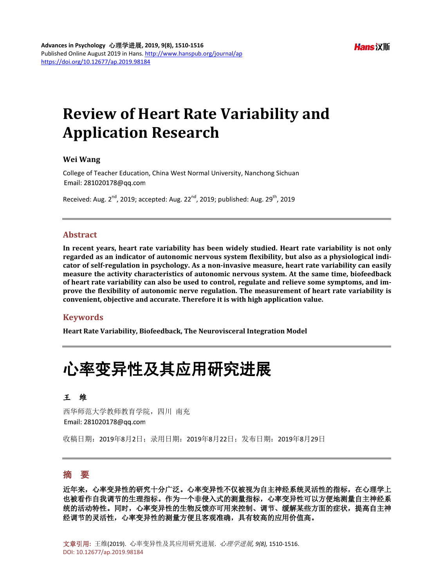### **Hans** 汉斯

# **Review of Heart Rate Variability and Application Research**

#### **Wei Wang**

College of Teacher Education, China West Normal University, Nanchong Sichuan Email: 281020178@gg.com

Received: Aug.  $2^{nd}$ , 2019; accepted: Aug.  $22^{nd}$ , 2019; published: Aug.  $29^{th}$ , 2019

#### **Abstract**

**In recent years, heart rate variability has been widely studied. Heart rate variability is not only regarded as an indicator of autonomic nervous system flexibility, but also as a physiological indicator of self-regulation in psychology. As a non-invasive measure, heart rate variability can easily measure the activity characteristics of autonomic nervous system. At the same time, biofeedback of heart rate variability can also be used to control, regulate and relieve some symptoms, and improve the flexibility of autonomic nerve regulation. The measurement of heart rate variability is convenient, objective and accurate. Therefore it is with high application value.**

#### **Keywords**

**Heart Rate Variability, Biofeedback, The Neurovisceral Integration Model**

# 心率变异性及其应用研究进展

#### 王维

西华师范大学教师教育学院,四川 南充 Email: 281020178@qq.com

收稿日期:2019年8月2日;录用日期:2019年8月22日;发布日期:2019年8月29日

## 摘 要

近年来,心率变异性的研究十分广泛。心率变异性不仅被视为自主神经系统灵活性的指标,在心理学上 也被看作自我调节的生理指标。作为一个非侵入式的测量指标,心率变异性可以方便地测量自主神经系 统的活动特性。同时,心率变异性的生物反馈亦可用来控制、调节、缓解某些方面的症状,提高自主神 经调节的灵活性,心率变异性的测量方便且客观准确,具有较高的应用价值高。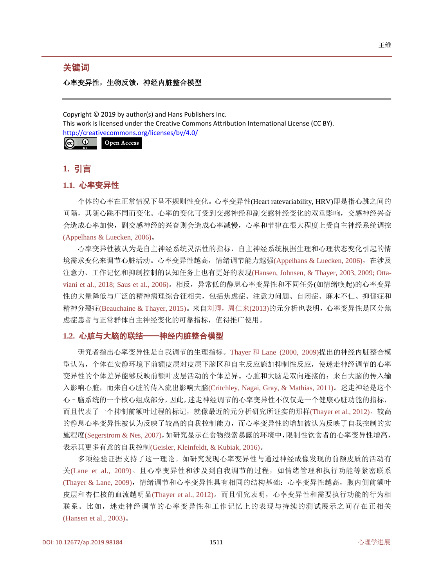### 关键词

## 心率变异性,生物反馈,神经内脏整合模型

Copyright © 2019 by author(s) and Hans Publishers Inc. This work is licensed under the Creative Commons Attribution International License (CC BY). <http://creativecommons.org/licenses/by/4.0/> <u>ര</u>  $\odot$ Open Access

## **1.** 引言

## **1.1.** 心率变异性

个体的心率在正常情况下呈不规则性变化。心率变异性(Heart ratevariability, HRV)即是指心跳之间的 间隔,其随心跳不同而变化。心率的变化可受到交感神经和副交感神经变化的双重影响,交感神经兴奋 会造成心率加快,副交感神经的兴奋则会造成心率减慢,心率和节律在很大程度上受自主神经系统调控 (Appelhans & [Luecken, 2006\)](#page-5-0)。

心率变异性被认为是自主神经系统灵活性的指标,自主神经系统根据生理和心理状态变化引起的情 境需求变化来调节心脏活动。心率变异性越高,情绪调节能力越强(Appelhans & [Luecken, 2006\)](#page-5-0),在涉及 注意力、工作记忆和抑制控制的认知任务上也有更好的表[现](#page-5-1)[\(Hansen, Johnsen, & Thayer, 2003, 2009; Otta](#page-5-1)viani et al., 2018; [Saus et al., 2006\)](#page-6-0)。相反,异常低的静息心率变异性和不同任务(如情绪唤起)的心率变异 性的大量降低与广泛的精神病理综合征相关,包括焦虑症、注意力问题、自闭症、麻木不仁、抑郁症和 精神分裂症(Beauchaine [& Thayer, 2015\)](#page-5-2)。来自刘卿, 周仁来(2013)的元分析也表明, 心率变异性是区分焦 虑症患者与正常群体自主神经变化的可靠指标,值得推广使用。

## **1.2.** 心脏与大脑的联结——神经内脏整合模型

研究者指出心率变异性是自我调节的生理指标。Thayer 和 Lane [\(2000, 2009\)](#page-6-1)提出的神经内脏整合模 型认为,个体在安静环境下前额皮层对皮层下脑区和自主反应施加抑制性反应,使迷走神经调节的心率 变异性的个体差异能够反映前额叶皮层活动的个体差异。心脏和大脑是双向连接的:来自大脑的传入输 入影响心脏,而来自心脏的传入流出影响大脑[\(Critchley, Nagai, Gray, & Mathias, 2011\)](#page-5-3)。迷走神经是这个 心–脑系统的一个核心组成部分,因此,迷走神经调节的心率变异性不仅仅是一个健康心脏功能的指标, 而且代表了一个抑制前额叶过程的标记,就像最近的元分析研究所证实的那样[\(Thayer et al.,](#page-6-2) 2012)。较高 的静息心率变异性被认为反映了较高的自我控制能力,而心率变异性的增加被认为反映了自我控制的实 施程度[\(Segerstrom & Nes, 2007\)](#page-6-3),如研究显示在食物线索暴露的环境中,限制性饮食者的心率变异性增高, 表示其更多有意的自我控制[\(Geisler, Kleinfeldt, & Kubiak, 2016\)](#page-5-4)。

多项经验证据支持了这一理论。如研究发现心率变异性与通过神经成像发现的前额皮质的活动有 关[\(Lane et al.,](#page-5-5) 2009)。且心率变异性和涉及到自我调节的过程,如情绪管理和执行功能等紧密联系 (Thayer [& Lane, 2009\)](#page-6-4),情绪调节和心率变异性具有相同的结构基础:心率变异性越高,腹内侧前额叶 皮层和杏仁核的血流越明显[\(Thayer et al.,](#page-6-2) 2012)。而且研究表明,心率变异性和需要执行功能的行为相 联系。比如,迷走神经调节的心率变异性和工作记忆上的表现与持续的测试展示之间存在正相关 [\(Hansen](#page-5-1) et al., 2003)。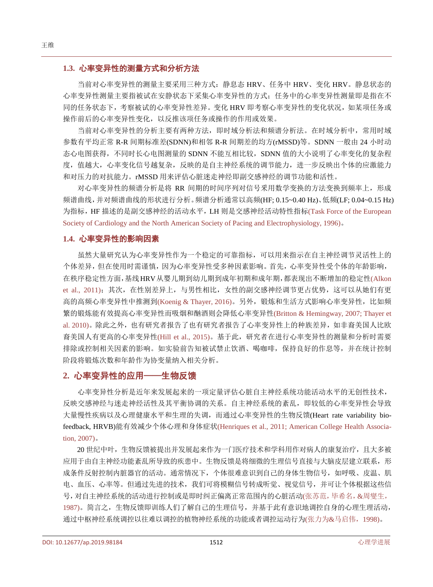### **1.3.** 心率变异性的测量方式和分析方法

当前对心率变异性的测量主要采用三种方式:静息态 HRV、任务中 HRV、变化 HRV。静息状态的 心率变异性测量主要指被试在安静状态下采集心率变异性的方式;任务中的心率变异性测量即是指在不 同的任务状态下,考察被试的心率变异性差异。变化 HRV 即考察心率变异性的变化状况,如某项任务或 操作前后的心率变异性变化,以反推该项任务或操作的作用或效果。

当前对心率变异性的分析主要有两种方法,即时域分析法和频谱分析法。在时域分析中,常用时域 参数有平均正常 R-R 间期标准差(SDNN)和相邻 R-R 间期差的均方(rMSSD)等。SDNN 一般由 24 小时动 态心电图获得,不同时长心电图测量的 SDNN 不能互相比较,SDNN 值的大小说明了心率变化的复杂程 度, 值越大, 心率变化信号越复杂, 反映的是自主神经系统的调节能力, 进一步反映出个体的应激能力 和对压力的对抗能力。rMSSD 用来评估心脏迷走神经即副交感神经的调节功能和活性。

对心率变异性的频谱分析是将 RR 间期的时间序列对信号釆用数学变换的方法变换到频率上,形成 频谱曲线,并对频谱曲线的形状进行分析。频谱分析通常以高频(HF; 0.15~0.40 Hz)、低频(LF; 0.04~0.15 Hz) 为指标,HF 描述的是副交感神经的活动水平,LH 则是交感神经活动特性指标[\(Task Force of the European](#page-6-5)  Society of Cardiology and the North [American Society of Pacing and Electrophysiology, 1996\)](#page-6-5)。

#### **1.4.** 心率变异性的影响因素

虽然大量研究认为心率变异性作为一个稳定的可靠指标,可以用来指示在自主神经调节灵活性上的 个体差异,但在使用时需谨慎,因为心率变异性受多种因素影响。首先,心率变异性受个体的年龄影响, 在秩序稳定性方面,基线HRV从婴儿期到幼儿期到成年初期和成年期,都表现出不断增加的稳定性[\(Alkon](#page-4-1)  [et al., 2011\)](#page-4-1); 其次, 在性别差异上, 与男性相比, 女性的副交感神经调节更占优势, 这可以从她们有更 高的高频心率变异性中推测到[\(Koenig &](#page-5-6) Thayer, 2016)。另外,锻炼和生活方式影响心率变异性,比如频 繁的锻炼能有效提高心率变异性而吸烟和酗酒则会降低心率变异性(Britton & [Hemingway,](#page-5-7) 2007; [Thayer et](#page-5-7)  al. 2010)。除此之外,也有研究者报告了也有研究者报告了心率变异性上的种族差异,如非裔美国人比欧 裔美国人有更高的心率变异性[\(Hill et](#page-5-8) al., 2015)。基于此,研究者在进行心率变异性的测量和分析时需要 排除或控制相关因素的影响。如实验前告知被试禁止饮酒、喝咖啡,保持良好的作息等,并在统计控制 阶段将锻炼次数和年龄作为协变量纳入相关分析。

## **2.** 心率变异性的应用——生物反馈

心率变异性分析是近年来发展起来的一项定量评估心脏自主神经系统功能活动水平的无创性技术, 反映交感神经与迷走神经活性及其平衡协调的关系。自主神经系统的紊乱,即较低的心率变异性会导致 大量慢性疾病以及心理健康水平和生理的失调,而通过心率变异性的生物反馈(Heart rate variability biofeedback, HRVB)能有效减少个体心理和身体症状[\(Henriques](#page-5-9) et al., 2011; [American College Health Associa](#page-5-9)tion, 2007)。

20 世纪中叶,生物反馈被提出并发展起来作为一门医疗技术和学科用作对病人的康复治疗,且大多被 应用于由自主神经功能紊乱所导致的疾患中。生物反馈是将细微的生理信号直接与大脑皮层建立联系,形 成条件反射控制内脏器官的活动。通常情况下,个体很难意识到自己的身体生物信号,如呼吸、皮温、肌 电、血压、心率等。但通过先进的技术,我们可将模糊信号转成听觉、视觉信号,并可让个体根据这些信 号,对自主神经系统的活动进行控制或是即时纠正偏离正常范围内的心脏活动([张苏范,毕希名,](#page-4-2)&周燮生, [1987\)](#page-4-2)。简言之,生物反馈即训练人们了解自己的生理信号,并基于此有意识地调控自身的心理生理活动, 通过中枢神经系统调控以往难以调控的植物神经系统的功能或者调控运动行为(张力为&[马启伟,](#page-4-3)1998)。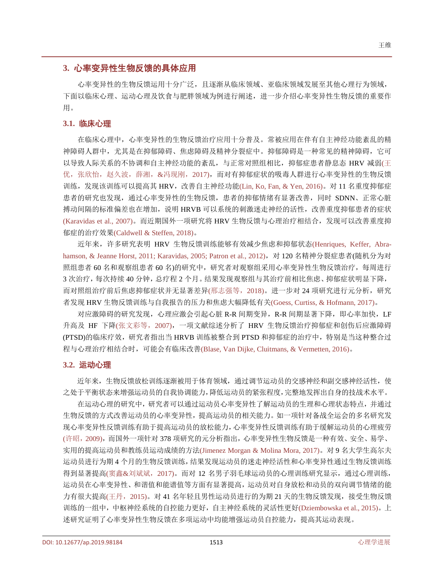## **3.** 心率变异性生物反馈的具体应用

心率变异性的生物反馈运用十分广泛,且逐渐从临床领域、亚临床领域发展至其他心理行为领域, 下面以临床心理、运动心理及饮食与肥胖领域为例进行阐述,进一步介绍心率变异性生物反馈的重要作 用。

#### **3.1.** 临床心理

在临床心理中,心率变异性的生物反馈治疗应用十分普及。常被应用在伴有自主神经功能紊乱的精 神障碍人群中,尤其是在抑郁障碍、焦虑障碍及精神分裂症中。抑郁障碍是一种常见的精神障碍,它可 以导致人际关系的不协调和自主神经功能的紊乱,与正常对照组相比,抑郁症患者静息态 HRV 减弱([王](#page-4-4) [优,张欣怡,赵久波,薛湘,](#page-4-4)&冯现刚,2017),而对有抑郁症状的吸毒人群进行心率变异性的生物反馈 训练,发现该训练可以提高其 HRV,改善自主神经功能[\(Lin, Ko, Fan, &](#page-5-10) Yen, 2016)。对 11 名重度抑郁症 患者的研究也发现,通过心率变异性的生物反馈,患者的抑郁情绪有显著改善,同时 SDNN、正常心脏 搏动间隔的标准偏差也在增加,说明 HRVB 可以系统的刺激迷走神经的活性,改善重度抑郁患者的症状 [\(Karavidas et al.,](#page-5-11) 2007)。而近期国外一项研究将 HRV 生物反馈与心理治疗相结合,发现可以改善重度抑 郁症的治疗效果[\(Caldwell & Steffen, 2018\)](#page-5-12)。

近年来,许多研究表明 HRV 生物反馈训练能够有效减少焦虑和抑郁状态[\(Henriques, Keffer, Abra](#page-5-9)[hamson, & Jeanne Horst,](#page-5-9) 2011; [Karavidas, 2005;](#page-5-9) [Patron et al., 2012\)](#page-6-6), 对 120 名精神分裂症患者(随机分为对 照组患者 60 名和观察组患者 60 名)的研究中,研究者对观察组采用心率变异性生物反馈治疗,每周进行 3 次治疗,每次持续 40 分钟,总疗程 2 个月。结果发现观察组与其治疗前相比焦虑、抑郁症状明显下降, 而对照组治疗前后焦虑抑郁症状并无显著差异([邢志强等,](#page-4-5)2018)。进一步对 24 项研究进行元分析,研究 者发现 HRV 生物反馈训练与自我报告的压力和焦虑大幅降低有关[\(Goess, Curtiss, & Hofmann,](#page-5-13) 2017)。

对应激障碍的研究发现,心理应激会引起心脏 R-R 间期变异,R-R 间期显著下降,即心率加快,LF 升高及 HF 下降([张文彩等,](#page-4-6)2007),一项文献综述分析了 HRV 生物反馈治疗抑郁症和创伤后应激障碍 (PTSD)的临床疗效,研究者指出当 HRVB 训练被整合到 PTSD 和抑郁症的治疗中,特别是当这种整合过 程与心理治疗相结合时,可能会有临床改善[\(Blase, Van Dijke, Cluitmans, & Vermetten, 2016\)](#page-5-14)。

#### **3.2.** 运动心理

近年来,生物反馈放松训练逐渐被用于体育领域,通过调节运动员的交感神经和副交感神经活性,使 之处于平衡状态来增强运动员的自我协调能力,降低运动员的紧张程度,完整地发挥出自身的技战术水平。

在运动心理的研究中,研究者可以通过运动员心率变异性了解运动员的生理和心理状态特点,并通过 生物反馈的方式改善运动员的心率变异性,提高运动员的相关能力。如一项针对备战全运会的多名研究发 现心率变异性反馈训练有助于提高运动员的放松能力,心率变异性反馈训练有助于缓解运动员的心理疲劳 ([许昭,](#page-4-7)2009),而国外一项针对 378 项研究的元分析指出,心率变异性生物反馈是一种有效、安全、易学、 实用的提高运动员和教练员运动成绩的方法[\(Jimenez Morgan & Molina Mora, 2017\)](#page-5-15)。对 9 名大学生高尔夫 运动员进行为期 4 个月的生物反馈训练,结果发现运动员的迷走神经活性和心率变异性通过生物反馈训练 得到显著提高(窦鑫&[刘斌斌,](#page-4-8)2017)。而对 12 名男子羽毛球运动员的心理训练研究显示,通过心理训练, 运动员在心率变异性、和谐值和能谱值等方面有显著提高,运动员对自身放松和动员的双向调节情绪的能 力有很大提高([王丹,](#page-4-9)2015)。对 41 名年轻且男性运动员进行的为期 21 天的生物反馈发现,接受生物反馈 训练的一组中,中枢神经系统的自控能力更好,自主神经系统的灵活性更好[\(Dziembowska](#page-5-16) et al., 2015)。上 述研究证明了心率变异性生物反馈在多项运动中均能增强运动员自控能力,提高其运动表现。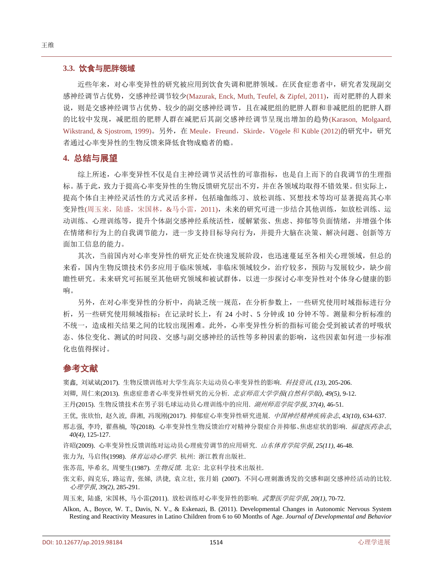#### **3.3.** 饮食与肥胖领域

近些年来,对心率变异性的研究被应用到饮食失调和肥胖领域。在厌食症患者中,研究者发现副交 感神经调节占优势, 交感神经调节较少[\(Mazurak, Enck, Muth, Teufel, & Zipfel, 2011\)](#page-5-17), 而对肥胖的人群来 说,则是交感神经调节占优势、较少的副交感神经调节,且在减肥组的肥胖人群和非减肥组的肥胖人群 的比较中发现,减肥组的肥胖人群在减肥后其副交感神经调节呈现出增加的趋势[\(Karason, Molgaard,](#page-5-18) [Wikstrand, & Sjostrom, 1999\)](#page-5-18)。另外, 在 Meule, Freund, Skirde, [Vögele](#page-6-7) 和 Küble (2012)的研究中, 研究 者通过心率变异性的生物反馈来降低食物成瘾者的瘾。

### **4.** 总结与展望

综上所述,心率变异性不仅是自主神经调节灵活性的可靠指标,也是自上而下的自我调节的生理指 标。基于此,致力于提高心率变异性的生物反馈研究层出不穷,并在各领域均取得不错效果。但实际上, 提高个体自主神经灵活性的方式灵活多样,包括瑜伽练习、放松训练、冥想技术等均可显著提高其心率 变异性([周玉来,陆盛,宋国林,](#page-4-10)&马小雷,2011),未来的研究可进一步结合其他训练,如放松训练、运 动训练、心理训练等,提升个体副交感神经系统活性,缓解紧张、焦虑、抑郁等负面情绪,并增强个体 在情绪和行为上的自我调节能力,进一步支持目标导向行为,并提升大脑在决策、解决问题、创新等方 面加工信息的能力。

其次,当前国内对心率变异性的研究正处在快速发展阶段,也迅速蔓延至各相关心理领域,但总的 来看,国内生物反馈技术仍多应用于临床领域,非临床领域较少,治疗较多,预防与发展较少,缺少前 瞻性研究。未来研究可拓展至其他研究领域和被试群体,以进一步探讨心率变异性对个体身心健康的影 响。

另外,在对心率变异性的分析中,尚缺乏统一规范,在分析参数上,一些研究使用时域指标进行分 析,另一些研究使用频域指标;在记录时长上,有 24 小时、5 分钟或 10 分钟不等。测量和分析标准的 不统一,造成相关结果之间的比较出现困难。此外,心率变异性分析的指标可能会受到被试者的呼吸状 态、体位变化、测试的时间段、交感与副交感神经的活性等多种因素的影响,这些因素如何进一步标准 化也值得探讨。

# 参考文献

<span id="page-4-8"></span>窦鑫, 刘斌斌(2017). 生物反馈训练对大学生高尔夫运动员心率变异性的影响. 科技资讯*, (13),* 205-206.

<span id="page-4-0"></span>刘卿, 周仁来(2013). 焦虑症患者心率变异性研究的元分析. 北京师范大学学报*(*自然科学版*), 49(5),* 9-12.

<span id="page-4-9"></span>王丹(2015). 生物反馈技术在男子羽毛球运动员心理训练中的应用. 湖州师范学院学报*, 37(4),* 46-51.

<span id="page-4-4"></span>王优, 张欣怡, 赵久波, 薛湘, 冯现刚(2017). 抑郁症心率变异性研究进展. 中国神经精神疾病杂志*, 43(10),* 634-637.

<span id="page-4-5"></span>邢志强, 李玲, 翟燕楠, 等(2018). 心率变异性生物反馈治疗对精神分裂症合并抑郁、焦虑症状的影响. 福建医药杂志, *40(4),* 125-127.

<span id="page-4-7"></span>许昭(2009). 心率变异性反馈训练对运动员心理疲劳调节的应用研究. 山东体育学院学报*, 25(11),* 46-48.

<span id="page-4-3"></span>张力为, 马启伟(1998). 体育运动心理学. 杭州: 浙江教育出版社.

<span id="page-4-2"></span>张苏范, 毕希名, 周燮生(1987). 生物反馈. 北京: 北京科学技术出版社.

<span id="page-4-6"></span>张文彩, 阎克乐, 路运青, 张娣, 洪捷, 袁立壮, 张月娟 (2007). 不同心理刺激诱发的交感和副交感神经活动的比较. 心理学报*, 39(2),* 285-291.

<span id="page-4-10"></span>周玉来, 陆盛, 宋国林, 马小雷(2011). 放松训练对心率变异性的影响. 武警医学院学报*, 20(1),* 70-72.

<span id="page-4-1"></span>Alkon, A., Boyce, W. T., Davis, N. V., & Eskenazi, B. (2011). Developmental Changes in Autonomic Nervous System Resting and Reactivity Measures in Latino Children from 6 to 60 Months of Age. *Journal of Developmental and Behavior*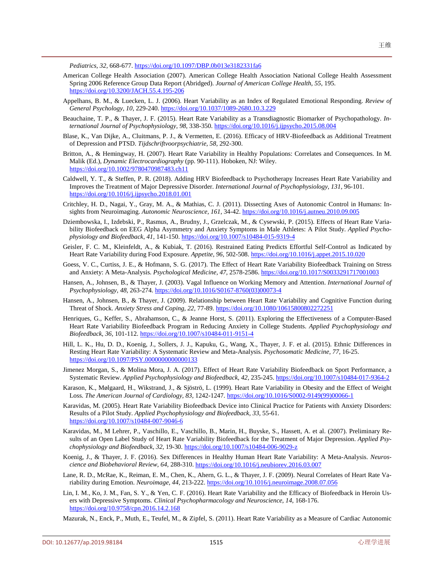*Pediatrics, 32,* 668-677. <https://doi.org/10.1097/DBP.0b013e3182331fa6>

- American College Health Association (2007). American College Health Association National College Health Assessment Spring 2006 Reference Group Data Report (Abridged). *Journal of American College Health, 55,* 195. <https://doi.org/10.3200/JACH.55.4.195-206>
- <span id="page-5-0"></span>Appelhans, B. M., & Luecken, L. J. (2006). Heart Variability as an Index of Regulated Emotional Responding. *Review of General Psychology, 10,* 229-240. <https://doi.org/10.1037/1089-2680.10.3.229>
- <span id="page-5-2"></span>Beauchaine, T. P., & Thayer, J. F. (2015). Heart Rate Variability as a Transdiagnostic Biomarker of Psychopathology. *International Journal of Psychophysiology, 98,* 338-350.<https://doi.org/10.1016/j.ijpsycho.2015.08.004>
- <span id="page-5-14"></span>Blase, K., Van Dijke, A., Cluitmans, P. J., & Vermetten, E. (2016). Efficacy of HRV-Biofeedback as Additional Treatment of Depression and PTSD. *Tijdschriftvoorpsychiatrie, 58,* 292-300.
- <span id="page-5-7"></span>Britton, A., & Hemingway, H. (2007). Heart Rate Variability in Healthy Populations: Correlates and Consequences. In M. Malik (Ed.), *Dynamic Electrocardiography* (pp. 90-111). Hoboken, NJ: Wiley. <https://doi.org/10.1002/9780470987483.ch11>
- <span id="page-5-12"></span>Caldwell, Y. T., & Steffen, P. R. (2018). Adding HRV Biofeedback to Psychotherapy Increases Heart Rate Variability and Improves the Treatment of Major Depressive Disorder. *International Journal of Psychophysiology, 131,* 96-101. <https://doi.org/10.1016/j.ijpsycho.2018.01.001>
- <span id="page-5-3"></span>Critchley, H. D., Nagai, Y., Gray, M. A., & Mathias, C. J. (2011). Dissecting Axes of Autonomic Control in Humans: Insights from Neuroimaging. *Autonomic Neuroscience, 161,* 34-42. <https://doi.org/10.1016/j.autneu.2010.09.005>
- <span id="page-5-16"></span>Dziembowska, I., Izdebski, P., Rasmus, A., Brudny, J., Grzelczak, M., & Cysewski, P. (2015). Effects of Heart Rate Variability Biofeedback on EEG Alpha Asymmetry and Anxiety Symptoms in Male Athletes: A Pilot Study. *Applied Psychophysiology and Biofeedback, 41,* 141-150. <https://doi.org/10.1007/s10484-015-9319-4>
- <span id="page-5-4"></span>Geisler, F. C. M., Kleinfeldt, A., & Kubiak, T. (2016). Restrained Eating Predicts Effortful Self-Control as Indicated by Heart Rate Variability during Food Exposure. *Appetite, 96,* 502-508. <https://doi.org/10.1016/j.appet.2015.10.020>
- <span id="page-5-13"></span>Goess, V. C., Curtiss, J. E., & Hofmann, S. G. (2017). The Effect of Heart Rate Variability Biofeedback Training on Stress and Anxiety: A Meta-Analysis. *Psychological Medicine, 47,* 2578-2586. <https://doi.org/10.1017/S0033291717001003>
- <span id="page-5-1"></span>Hansen, A., Johnsen, B., & Thayer, J. (2003). Vagal Influence on Working Memory and Attention. *International Journal of Psychophysiology, 48,* 263-274. [https://doi.org/10.1016/S0167-8760\(03\)00073-4](https://doi.org/10.1016/S0167-8760(03)00073-4)
- Hansen, A., Johnsen, B., & Thayer, J. (2009). Relationship between Heart Rate Variability and Cognitive Function during Threat of Shock. *Anxiety Stress and Coping, 22,* 77-89. <https://doi.org/10.1080/10615800802272251>
- <span id="page-5-9"></span>Henriques, G., Keffer, S., Abrahamson, C., & Jeanne Horst, S. (2011). Exploring the Effectiveness of a Computer-Based Heart Rate Variability Biofeedback Program in Reducing Anxiety in College Students. *Applied Psychophysiology and Biofeedback, 36,* 101-112. <https://doi.org/10.1007/s10484-011-9151-4>
- <span id="page-5-8"></span>Hill, L. K., Hu, D. D., Koenig, J., Sollers, J. J., Kapuku, G., Wang, X., Thayer, J. F. et al. (2015). Ethnic Differences in Resting Heart Rate Variability: A Systematic Review and Meta-Analysis. *Psychosomatic Medicine, 77,* 16-25. <https://doi.org/10.1097/PSY.0000000000000133>
- <span id="page-5-15"></span>Jimenez Morgan, S., & Molina Mora, J. A. (2017). Effect of Heart Rate Variability Biofeedback on Sport Performance, a Systematic Review. *Applied Psychophysiology and Biofeedback, 42,* 235-245[. https://doi.org/10.1007/s10484-017-9364-2](https://doi.org/10.1007/s10484-017-9364-2)
- <span id="page-5-18"></span>Karason, K., Mølgaard, H., Wikstrand, J., & Sjöströ, L. (1999). Heart Rate Variability in Obesity and the Effect of Weight Loss. *The American Journal of Cardiology, 83,* 1242-1247. [https://doi.org/10.1016/S0002-9149\(99\)00066-1](https://doi.org/10.1016/S0002-9149(99)00066-1)
- Karavidas, M. (2005). Heart Rate Variability Biofeedback Device into Clinical Practice for Patients with Anxiety Disorders: Results of a Pilot Study. *Applied Psychophysiology and Biofeedback, 33,* 55-61. <https://doi.org/10.1007/s10484-007-9046-6>
- <span id="page-5-11"></span>Karavidas, M., M Lehrer, P., Vaschillo, E., Vaschillo, B., Marin, H., Buyske, S., Hassett, A. et al. (2007). Preliminary Results of an Open Label Study of Heart Rate Variability Biofeedback for the Treatment of Major Depression. *Applied Psychophysiology and Biofeedback, 32,* 19-30. <https://doi.org/10.1007/s10484-006-9029-z>
- <span id="page-5-6"></span>Koenig, J., & Thayer, J. F. (2016). Sex Differences in Healthy Human Heart Rate Variability: A Meta-Analysis. *Neuroscience and Biobehavioral Review, 64,* 288-310. <https://doi.org/10.1016/j.neubiorev.2016.03.007>
- <span id="page-5-5"></span>Lane, R. D., McRae, K., Reiman, E. M., Chen, K., Ahern, G. L., & Thayer, J. F. (2009). Neural Correlates of Heart Rate Variability during Emotion. *Neuroimage, 44,* 213-222. <https://doi.org/10.1016/j.neuroimage.2008.07.056>
- <span id="page-5-10"></span>Lin, I. M., Ko, J. M., Fan, S. Y., & Yen, C. F. (2016). Heart Rate Variability and the Efficacy of Biofeedback in Heroin Users with Depressive Symptoms. *Clinical Psychopharmacology and Neuroscience, 14,* 168-176. <https://doi.org/10.9758/cpn.2016.14.2.168>
- <span id="page-5-17"></span>Mazurak, N., Enck, P., Muth, E., Teufel, M., & Zipfel, S. (2011). Heart Rate Variability as a Measure of Cardiac Autonomic